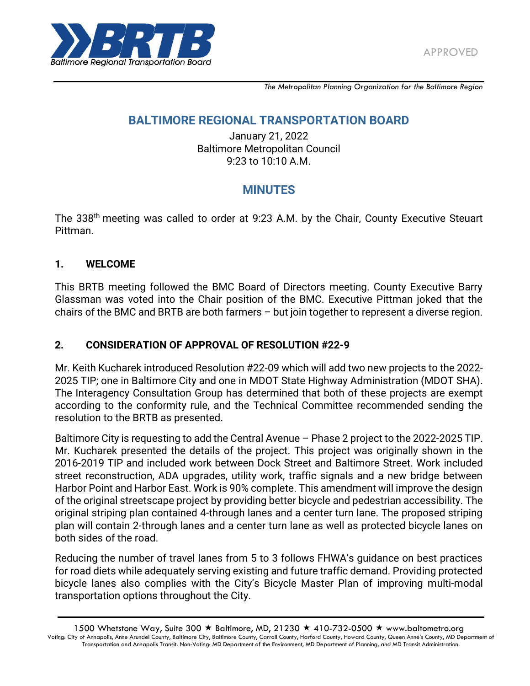

*The Metropolitan Planning Organization for the Baltimore Region*

# **BALTIMORE REGIONAL TRANSPORTATION BOARD**

January 21, 2022 Baltimore Metropolitan Council 9:23 to 10:10 A.M.

# **MINUTES**

The 338<sup>th</sup> meeting was called to order at 9:23 A.M. by the Chair, County Executive Steuart Pittman.

### **1. WELCOME**

This BRTB meeting followed the BMC Board of Directors meeting. County Executive Barry Glassman was voted into the Chair position of the BMC. Executive Pittman joked that the chairs of the BMC and BRTB are both farmers – but join together to represent a diverse region.

# **2. CONSIDERATION OF APPROVAL OF RESOLUTION #22-9**

Mr. Keith Kucharek introduced Resolution #22-09 which will add two new projects to the 2022- 2025 TIP; one in Baltimore City and one in MDOT State Highway Administration (MDOT SHA). The Interagency Consultation Group has determined that both of these projects are exempt according to the conformity rule, and the Technical Committee recommended sending the resolution to the BRTB as presented.

Baltimore City is requesting to add the Central Avenue – Phase 2 project to the 2022-2025 TIP. Mr. Kucharek presented the details of the project. This project was originally shown in the 2016-2019 TIP and included work between Dock Street and Baltimore Street. Work included street reconstruction, ADA upgrades, utility work, traffic signals and a new bridge between Harbor Point and Harbor East. Work is 90% complete. This amendment will improve the design of the original streetscape project by providing better bicycle and pedestrian accessibility. The original striping plan contained 4-through lanes and a center turn lane. The proposed striping plan will contain 2-through lanes and a center turn lane as well as protected bicycle lanes on both sides of the road.

Reducing the number of travel lanes from 5 to 3 follows FHWA's guidance on best practices for road diets while adequately serving existing and future traffic demand. Providing protected bicycle lanes also complies with the City's Bicycle Master Plan of improving multi-modal transportation options throughout the City.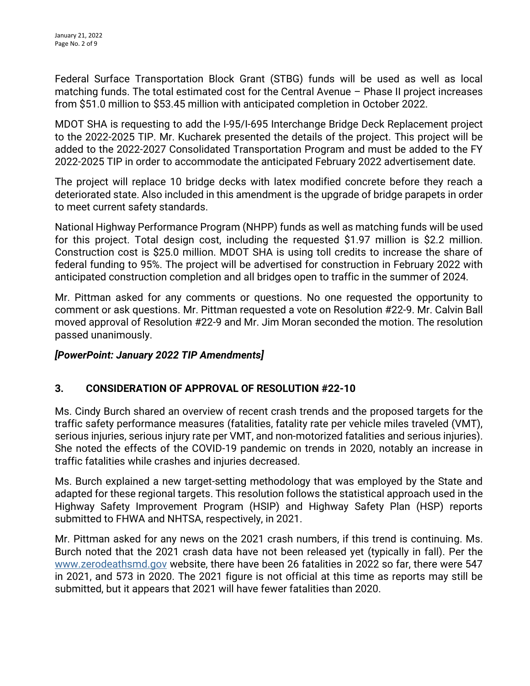Federal Surface Transportation Block Grant (STBG) funds will be used as well as local matching funds. The total estimated cost for the Central Avenue – Phase II project increases from \$51.0 million to \$53.45 million with anticipated completion in October 2022.

MDOT SHA is requesting to add the I-95/I-695 Interchange Bridge Deck Replacement project to the 2022-2025 TIP. Mr. Kucharek presented the details of the project. This project will be added to the 2022-2027 Consolidated Transportation Program and must be added to the FY 2022-2025 TIP in order to accommodate the anticipated February 2022 advertisement date.

The project will replace 10 bridge decks with latex modified concrete before they reach a deteriorated state. Also included in this amendment is the upgrade of bridge parapets in order to meet current safety standards.

National Highway Performance Program (NHPP) funds as well as matching funds will be used for this project. Total design cost, including the requested \$1.97 million is \$2.2 million. Construction cost is \$25.0 million. MDOT SHA is using toll credits to increase the share of federal funding to 95%. The project will be advertised for construction in February 2022 with anticipated construction completion and all bridges open to traffic in the summer of 2024.

Mr. Pittman asked for any comments or questions. No one requested the opportunity to comment or ask questions. Mr. Pittman requested a vote on Resolution #22-9. Mr. Calvin Ball moved approval of Resolution #22-9 and Mr. Jim Moran seconded the motion. The resolution passed unanimously.

# *[PowerPoint: January 2022 TIP Amendments]*

# **3. CONSIDERATION OF APPROVAL OF RESOLUTION #22-10**

Ms. Cindy Burch shared an overview of recent crash trends and the proposed targets for the traffic safety performance measures (fatalities, fatality rate per vehicle miles traveled (VMT), serious injuries, serious injury rate per VMT, and non-motorized fatalities and serious injuries). She noted the effects of the COVID-19 pandemic on trends in 2020, notably an increase in traffic fatalities while crashes and injuries decreased.

Ms. Burch explained a new target-setting methodology that was employed by the State and adapted for these regional targets. This resolution follows the statistical approach used in the Highway Safety Improvement Program (HSIP) and Highway Safety Plan (HSP) reports submitted to FHWA and NHTSA, respectively, in 2021.

Mr. Pittman asked for any news on the 2021 crash numbers, if this trend is continuing. Ms. Burch noted that the 2021 crash data have not been released yet (typically in fall). Per the [www.zerodeathsmd.gov](http://www.zerodeathsmd.gov/) website, there have been 26 fatalities in 2022 so far, there were 547 in 2021, and 573 in 2020. The 2021 figure is not official at this time as reports may still be submitted, but it appears that 2021 will have fewer fatalities than 2020.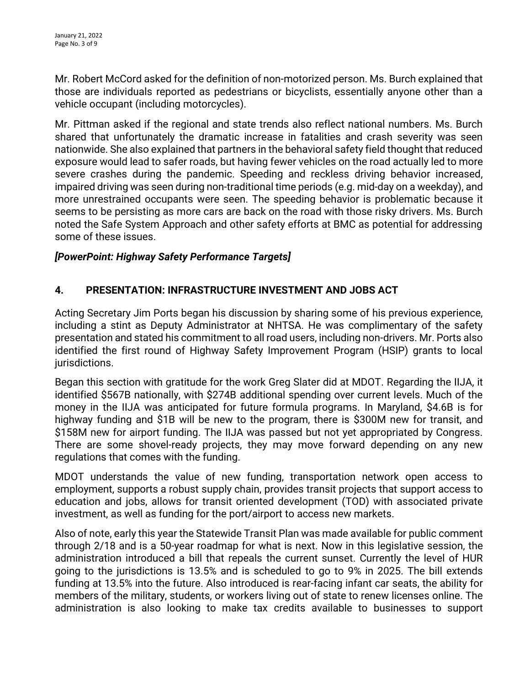Mr. Robert McCord asked for the definition of non-motorized person. Ms. Burch explained that those are individuals reported as pedestrians or bicyclists, essentially anyone other than a vehicle occupant (including motorcycles).

Mr. Pittman asked if the regional and state trends also reflect national numbers. Ms. Burch shared that unfortunately the dramatic increase in fatalities and crash severity was seen nationwide. She also explained that partners in the behavioral safety field thought that reduced exposure would lead to safer roads, but having fewer vehicles on the road actually led to more severe crashes during the pandemic. Speeding and reckless driving behavior increased, impaired driving was seen during non-traditional time periods (e.g. mid-day on a weekday), and more unrestrained occupants were seen. The speeding behavior is problematic because it seems to be persisting as more cars are back on the road with those risky drivers. Ms. Burch noted the Safe System Approach and other safety efforts at BMC as potential for addressing some of these issues.

### *[PowerPoint: Highway Safety Performance Targets]*

# **4. PRESENTATION: INFRASTRUCTURE INVESTMENT AND JOBS ACT**

Acting Secretary Jim Ports began his discussion by sharing some of his previous experience, including a stint as Deputy Administrator at NHTSA. He was complimentary of the safety presentation and stated his commitment to all road users, including non-drivers. Mr. Ports also identified the first round of Highway Safety Improvement Program (HSIP) grants to local jurisdictions.

Began this section with gratitude for the work Greg Slater did at MDOT. Regarding the IIJA, it identified \$567B nationally, with \$274B additional spending over current levels. Much of the money in the IIJA was anticipated for future formula programs. In Maryland, \$4.6B is for highway funding and \$1B will be new to the program, there is \$300M new for transit, and \$158M new for airport funding. The IIJA was passed but not yet appropriated by Congress. There are some shovel-ready projects, they may move forward depending on any new regulations that comes with the funding.

MDOT understands the value of new funding, transportation network open access to employment, supports a robust supply chain, provides transit projects that support access to education and jobs, allows for transit oriented development (TOD) with associated private investment, as well as funding for the port/airport to access new markets.

Also of note, early this year the Statewide Transit Plan was made available for public comment through 2/18 and is a 50-year roadmap for what is next. Now in this legislative session, the administration introduced a bill that repeals the current sunset. Currently the level of HUR going to the jurisdictions is 13.5% and is scheduled to go to 9% in 2025. The bill extends funding at 13.5% into the future. Also introduced is rear-facing infant car seats, the ability for members of the military, students, or workers living out of state to renew licenses online. The administration is also looking to make tax credits available to businesses to support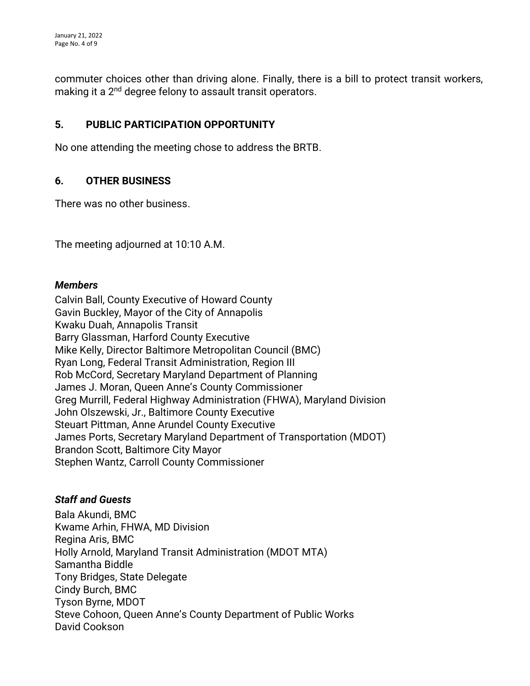commuter choices other than driving alone. Finally, there is a bill to protect transit workers, making it a 2<sup>nd</sup> degree felony to assault transit operators.

#### **5. PUBLIC PARTICIPATION OPPORTUNITY**

No one attending the meeting chose to address the BRTB.

### **6. OTHER BUSINESS**

There was no other business.

The meeting adjourned at 10:10 A.M.

#### *Members*

Calvin Ball, County Executive of Howard County Gavin Buckley, Mayor of the City of Annapolis Kwaku Duah, Annapolis Transit Barry Glassman, Harford County Executive Mike Kelly, Director Baltimore Metropolitan Council (BMC) Ryan Long, Federal Transit Administration, Region III Rob McCord, Secretary Maryland Department of Planning James J. Moran, Queen Anne's County Commissioner Greg Murrill, Federal Highway Administration (FHWA), Maryland Division John Olszewski, Jr., Baltimore County Executive Steuart Pittman, Anne Arundel County Executive James Ports, Secretary Maryland Department of Transportation (MDOT) Brandon Scott, Baltimore City Mayor Stephen Wantz, Carroll County Commissioner

#### *Staff and Guests*

Bala Akundi, BMC Kwame Arhin, FHWA, MD Division Regina Aris, BMC Holly Arnold, Maryland Transit Administration (MDOT MTA) Samantha Biddle Tony Bridges, State Delegate Cindy Burch, BMC Tyson Byrne, MDOT Steve Cohoon, Queen Anne's County Department of Public Works David Cookson